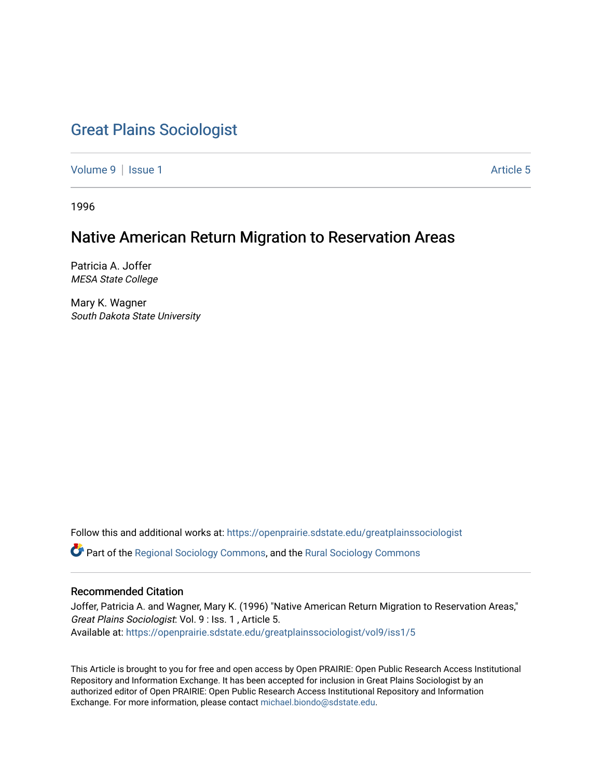# [Great Plains Sociologist](https://openprairie.sdstate.edu/greatplainssociologist)

[Volume 9](https://openprairie.sdstate.edu/greatplainssociologist/vol9) | [Issue 1](https://openprairie.sdstate.edu/greatplainssociologist/vol9/iss1) Article 5

1996

# Native American Return Migration to Reservation Areas

Patricia A. Joffer MESA State College

Mary K. Wagner South Dakota State University

Follow this and additional works at: [https://openprairie.sdstate.edu/greatplainssociologist](https://openprairie.sdstate.edu/greatplainssociologist?utm_source=openprairie.sdstate.edu%2Fgreatplainssociologist%2Fvol9%2Fiss1%2F5&utm_medium=PDF&utm_campaign=PDFCoverPages) 

Part of the [Regional Sociology Commons](http://network.bepress.com/hgg/discipline/427?utm_source=openprairie.sdstate.edu%2Fgreatplainssociologist%2Fvol9%2Fiss1%2F5&utm_medium=PDF&utm_campaign=PDFCoverPages), and the [Rural Sociology Commons](http://network.bepress.com/hgg/discipline/428?utm_source=openprairie.sdstate.edu%2Fgreatplainssociologist%2Fvol9%2Fiss1%2F5&utm_medium=PDF&utm_campaign=PDFCoverPages) 

#### Recommended Citation

Joffer, Patricia A. and Wagner, Mary K. (1996) "Native American Return Migration to Reservation Areas," Great Plains Sociologist: Vol. 9 : Iss. 1 , Article 5. Available at: [https://openprairie.sdstate.edu/greatplainssociologist/vol9/iss1/5](https://openprairie.sdstate.edu/greatplainssociologist/vol9/iss1/5?utm_source=openprairie.sdstate.edu%2Fgreatplainssociologist%2Fvol9%2Fiss1%2F5&utm_medium=PDF&utm_campaign=PDFCoverPages) 

This Article is brought to you for free and open access by Open PRAIRIE: Open Public Research Access Institutional Repository and Information Exchange. It has been accepted for inclusion in Great Plains Sociologist by an authorized editor of Open PRAIRIE: Open Public Research Access Institutional Repository and Information Exchange. For more information, please contact [michael.biondo@sdstate.edu.](mailto:michael.biondo@sdstate.edu)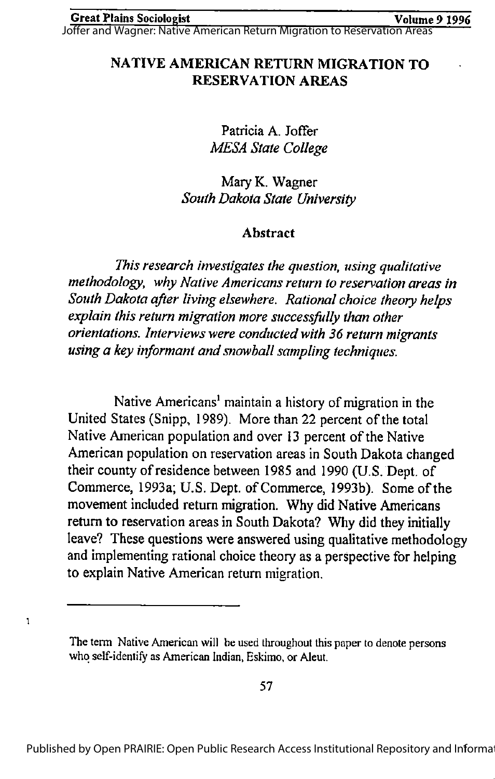Joffer and Wagner: Native American Return Migration to Reservation Areas

# NATIVE AMERICAN RETURN MIGRATION TO RESERVATION AREAS

Patricia A. Joffer MESA State College

Mary K. Wagner South Dakota State University

# Abstract

This research investigates the question, using qualitative methodology, why Native Americans return to reservation areas in South Dakota after living elsewhere. Rational choice theory helps explain this return migration more successfully than other orientations. Interviews were conducted with 36 return migrants using a key informant and snowball sampling techniques.

Native Americans<sup>1</sup> maintain a history of migration in the United States (Snipp, 1989). More than 22 percent of the total Native American population and over 13 percent of the Native American population on reservation areas in South Dakota changed their countyof residence between 1985 and 1990 (U.S. Dept. of Commerce, 1993a; U.S. Dept. of Commerce, 1993b). Some of the movement included return migration. Why did Native Americans return to reservation areas in South Dakota? Why did they initially leave? These questions were answered using qualitative methodology and implementing rational choice theory as a perspective for helping to explain Native American return migration.

 $\mathbf{1}$ 

The term Native American will be used throughout this paper to denote persons who self-identify as American Indian, Eskimo, or Aleut.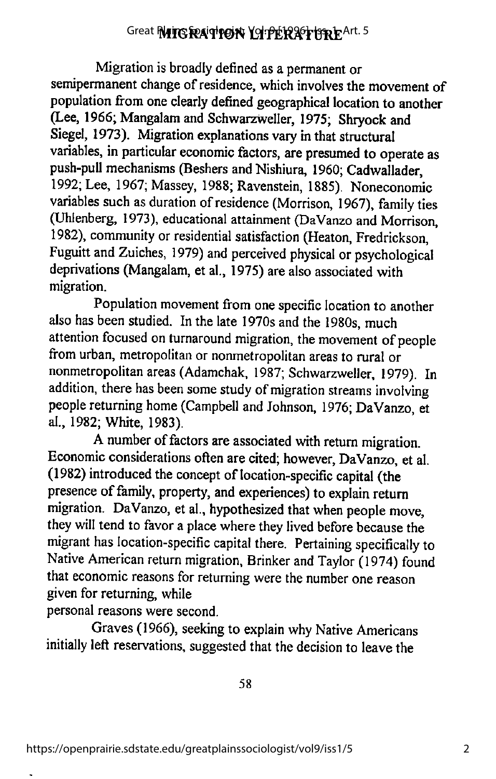# Great **MITG RATTON LITERATTRE**Art. 5

Migration is broadly defined as a permanent or semipermanent change of residence, which involves the movement of population from one clearly defined geographical location to another (Lee, 1966; Mangalam and Schwarzweller, 1975; Shryock and Siegel, 1973). Migration explanations vary in that structural variables, in particular economic factors, are presumed to operate as push-pull mechanisms (Beshers and Nishiura, 1960; Cadwallader, 1992; Lee, 1967; Massey, 1988; Ravenstein, 1885). Noneconomic variables such as duration of residence (Morrison, 1967), family ties (Uhlenberg, 1973), educational attainment (DaVanzo and Morrison, 1982), community or residential satisfaction (Heaton, Fredrickson, Fuguitt and Zuiches, 1979) and perceived physical or psychological deprivations (Mangalam, et al., 1975) are also associated with migration.

Population movement from one specific location to another also has been studied. In the late 1970s and the 1980s, much attention focused on turnaround migration, the movement of people from urban, metropolitan or nonmetropolitan areas to rural or nonmetropolitan areas (Adamchak, 1987; Schwarzweller, 1979). In addition, there has been some study of migration streams involving people returning home (Campbell and Johnson, 1976; DaVanzo, et al., 1982; White, 1983).

A number of factors are associated with return migration. Economic considerations often are cited; however, DaVanzo, et al. (1982) introduced the concept of location-specific capital (the presence of family, property, and experiences) to explain return migration. DaVanzo, et al., hypothesized that when people move, they will tend to favor a place where they lived before because the migrant has location-specific capital there. Pertaining specifically to Native American return migration, Brinker and Taylor (1974) found that economic reasons for returning were the number one reason given for returning, while

personal reasons were second.

Graves (1966), seeking to explain why Native Americans initially left reservations, suggested that the decision to leave the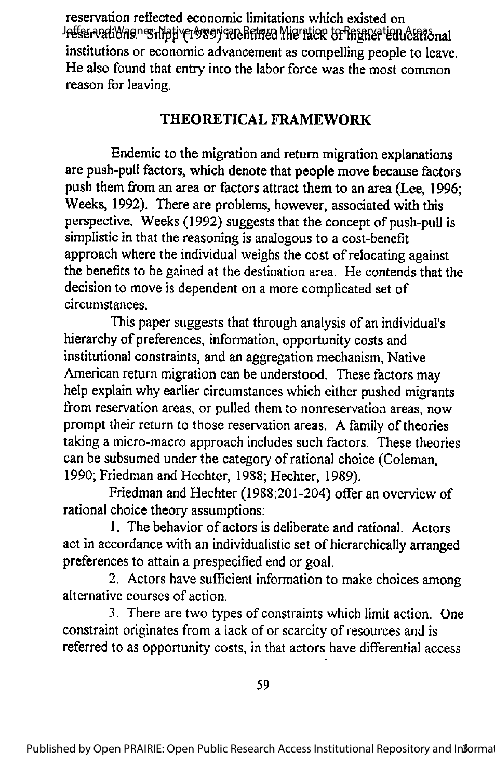reservation reflected economic limitations which existed on Jetfer vatiYagner hipp (1989) ide hitren Migration to Phigher tenucational institutions or economic advancement as compelling people to leave. He also found that entry into the labor force was the most common reason for leaving.

# THEORETICAL FRAMEWORK

Endemic to the migration and return migration explanations are push-pull factors, which denote that people move because factors push them from an area or factors attract them to an area (Lee, 1996; Weeks, 1992). There are problems, however, associated with this perspective. Weeks (1992) suggests that the concept of push-pull is simplistic in that the reasoning is analogous to a cost-benefit approach where the individual weighs the cost of relocating against the benefits to be gained at the destination area. He contends that the decision to move is dependent on a more complicated set of circumstances.

This paper suggests that through analysis of an individual's hierarchy of preferences, information, opportunity costs and institutional constraints, and an aggregation mechanism, Native American return migration canbe understood. These factors may help explain why earlier circumstances which either pushed migrants from reservation areas, or pulled them to nonreservation areas, now prompt their return to those reservation areas. A family of theories taking a micro-macro approach includes such factors. These theories can be subsumed under the category of rational choice (Coleman, 1990; Friedman and Hechter, 1988; Hechter, 1989).

Friedman and Hechter (1988:201-204) offer an overview of rational choice theory assumptions:

1. The behavior of actors is deliberate and rational. Actors act in accordance with an individualistic set of hierarchically arranged preferences to attain a prespecified end or goal.

2. Actors have sufficient information to make choices among alternative courses of action.

3. There are two types of constraints which limit action. One constraint originates from a lack of or scarcity of resources and is referred to as opportunity costs, in that actors have differential access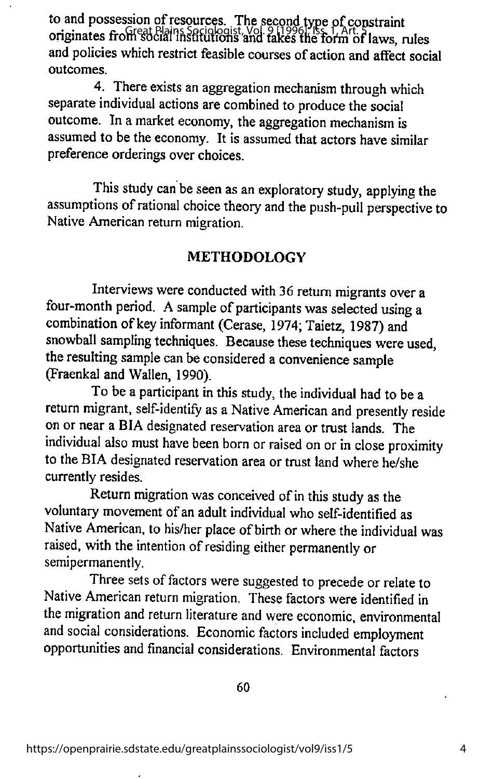to and possession of resources. The second type of constraint originates from social institutions and takes the form of laws, rules and policies which restrict feasible courses of action and affect social outcomes.

4. There exists an aggregation mechanism through which separate individual actions are combined to produce the social outcome. In a market economy, the aggregation mechanism is assumed to be the economy. It is assumed that actors have similar preference orderings over choices.

This study can be seen as an exploratory study, applying the assumptions ofrational choice theory and the push-pull perspective to Native American return migration.

### METHODOLOGY

Interviews were conducted with 36 return migrants over a four-month period. A sample of participants was selected using a combination of key informant (Cerase, 1974; Taietz, 1987) and snowball sampling techniques. Because these techniques were used, the resulting sample can be considered a convenience sample (Fraenkal and Wallen, 1990).

To be a participant in this study, the individual had to be a return migrant, self-identify as a Native American and presently reside on or near a BIA designated reservation area or trust lands. The individual also must have been born or raised on or in close proximity to the BIA designated reservation area or trust land where he/she currently resides.

Return migration was conceived of in this study as the voluntary movement of an adult individual who self-identified as Native American, to his/her place of birth or where the individual was raised, with the intention of residing either permanently or semipermanently.

Three sets of factors were suggested to precede or relate to Native American return migration. These factors were identified in the migration and return literature and were economic, environmental and social considerations. Economic factors included employment opportunities and financial considerations. Environmental factors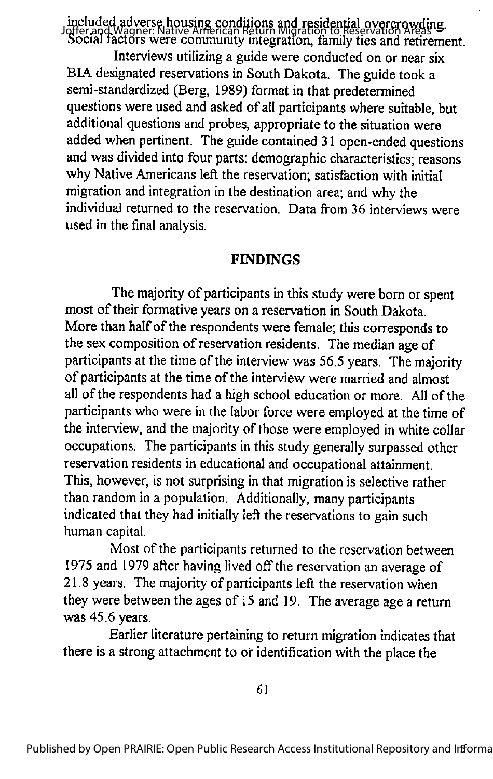included adverse housing conditions and residential overcrowding. Joffer and Wagner: Native American Return Migration to Reservation Areas Social factors were community integration, family ties and retirement. Interviews utilizing a guide were conducted on or near six BIA designated reservations in South Dakota. The guide took a semi-standardized (Berg, 1989) format in that predetermined questions were used and asked of all participants where suitable, but additional questions and probes, appropriate to the situation were added when pertinent. The guide contained 31 open-ended questions and was divided into four parts: demographic characteristics; reasons why Native Americans left the reservation; satisfaction with initial migration and integration inthe destination area; andwhy the individual returned to the reservation. Data from 36 interviews were used in the final analysis.

#### FINDINGS

The majority of participants in this study were born or spent most of their formative years on a reservation in South Dakota. More than half of the respondents were female; this corresponds to the sex composition of reservation residents. The median age of participants at the time of the interview was 56.5 years. The majority of participants at the time of the interview were married and almost all of the respondents had a high school education or more. All of the participants who were in the labor force were employed at the time of the interview, and the majority of those were employed in white collar occupations. The participants in this study generally surpassed other reservation residents in educational and occupational attainment. This, however, is not surprising in that migration is selective rather than random in a population. Additionally, many participants indicated that they had initially left the reservations to gain such human capital.

Most of the participants returned to the reservation between 1975 and 1979 after having lived off the reservation an average of 21.8 years. The majority of participants left the reservation when theywere between the ages of 15 and 19. The average age a return was 45.6 years.

Earlier literature pertaining to return migration indicates that there is a strong attachment to or identification with the place the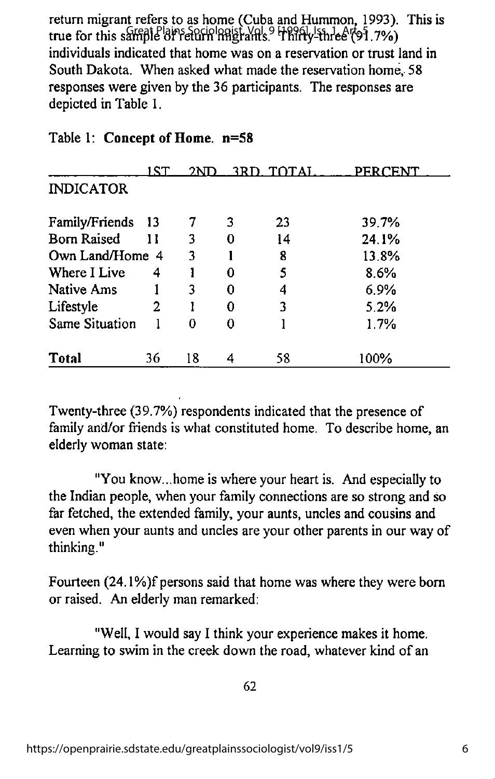return migrant refers to as home (Cuba and Hummon, 1993). This is true for this sample of return migrants. Thirty-three (91.7%) individuals indicated that home was on a reservation or trust land in South Dakota. When asked what made the reservation home, 58 responses were given by the 36 participants. The responses are depicted in Table 1.

|                    | 1 S T | 2ND. |   | 3RD TOTAL | <b>PERCENT</b> |
|--------------------|-------|------|---|-----------|----------------|
| <b>INDICATOR</b>   |       |      |   |           |                |
| Family/Friends 13  |       |      | 3 | 23        | 39.7%          |
| <b>Born Raised</b> | 11    | 3    | O | 14        | 24.1%          |
| Own Land/Home 4    |       | 3    |   | 8         | 13.8%          |
| Where I Live       | 4     |      | O | 5         | 8.6%           |
| <b>Native Ams</b>  |       | ٦    | O | 4         | 6.9%           |
| Lifestyle          | 2     |      | O | 3         | 5.2%           |
| Same Situation     |       |      |   |           | 1.7%           |
| Total              | 36    | 18   |   | 58        | 100%           |

## Table 1; Concept of Home. n=58

Twenty-three (39.7%) respondents indicated that the presence of family and/or friends is what constituted home. To describe home, an elderly woman state:

"You know...home is where your heart is. And especially to the Indian people, when your family connections are so strong and so far fetched, the extended family, your aunts, uncles and cousins and even when your aunts and uncles are your other parents in our way of thinking."

Fourteen (24.1%)f persons said that home was where they were bom or raised. An elderly man remarked:

"Well, I would say I think your experience makes it home. Learning to swim in the creek down the road, whatever kind of an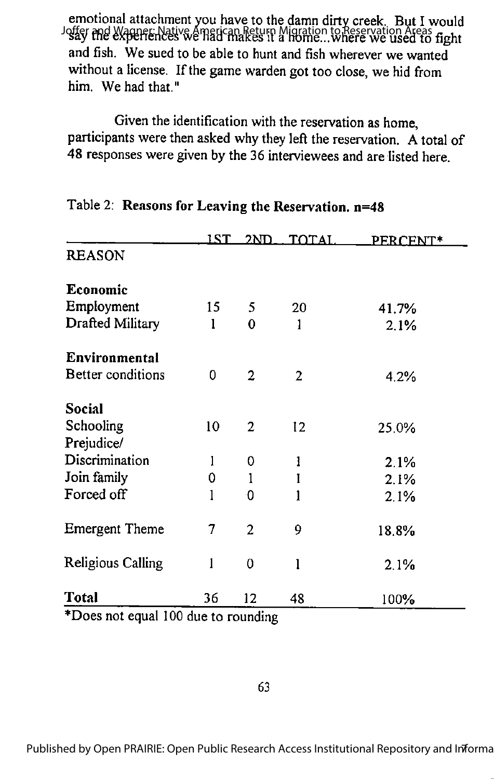emotional attachment you have to the damn dirty creek. But I would Joffer and Wagner: Native American Return Migration to Reservation Areas<br>Josay the experiences we had makes it a home...where we used to fight and fish. We sued to be able to hunt and fish wherever we wanted without a license. If the game warden got too close, we hid from him. We had that."

Given the identification with the reservation as home, participants were then asked why they left the reservation. A total of 48 responses were given by the 36 interviewees and are listed here.

|                       | 1ST | 2 <sub>N</sub> | TOTAL        | PERCENT* |
|-----------------------|-----|----------------|--------------|----------|
| <b>REASON</b>         |     |                |              |          |
| Economic              |     |                |              |          |
| Employment            | 15  | 5              | 20           | 41.7%    |
| Drafted Military      | 1   | 0              | l            | 2.1%     |
| Environmental         |     |                |              |          |
| Better conditions     | 0   | $\overline{2}$ | 2            | 4.2%     |
| Social                |     |                |              |          |
| Schooling             | 10  | $\overline{2}$ | 12           | 25.0%    |
| Prejudice/            |     |                |              |          |
| Discrimination        |     | 0              | 1            | 2.1%     |
| Join family           | 0   | ı              | I            | 2.1%     |
| Forced off            |     | 0              |              | 2.1%     |
| <b>Emergent Theme</b> | 7   | $\overline{2}$ | 9            | 18.8%    |
| Religious Calling     |     | 0              | $\mathbf{l}$ | 2.1%     |
| <b>Total</b>          | 36  | 12             | 48           | 100%     |

#### Table 2; Reasons for Leaving the Reservation. n=48

Does not equal 100 due to rounding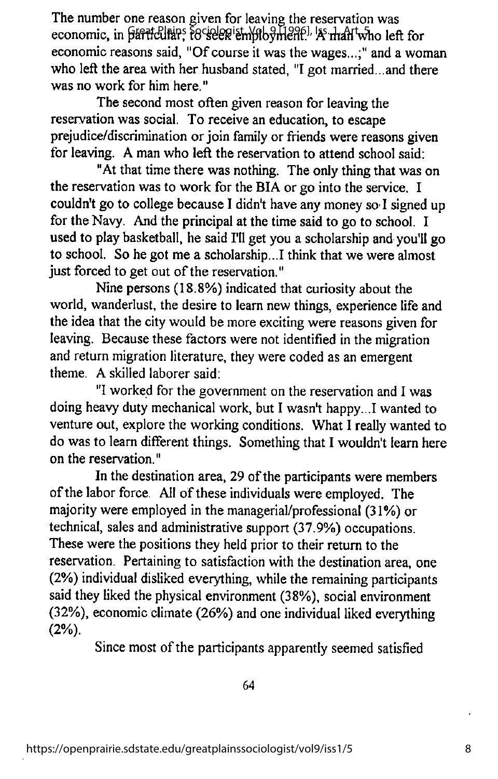The number one reason given for leaving the reservation was economic, in <del>paritelliars rociologist, Yol. 9 1996</del>, As man who left for economic reasons said, "Of course it was the wages...;" and a woman who left the area with her husband stated, "I got married...and there was no work for him here."

The second most often given reason for leaving the reservation was social. To receivean education, to escape prejudice/discrimination or join family or friends were reasons given for leaving. A man who left the reservation to attend school said:

"At that time there was nothing. The only thing that was on the reservation was to work for the BIA or go into the service. I couldn't go to college because I didn't have anymoney so I signed up for the Navy. And the principal at the time said to go to school. I used to play basketball, he said I'll get you a scholarship and you'll go to school. So he got me a scholarship...! think that we were almost just forced to get out of the reservation."

Nine persons (18.8%) indicated that curiosityabout the world, wanderlust, the desire to learn new things, experience life and the idea that the city would be more exciting were reasons given for leaving. Because these factors were not identified in the migration and return migration literature, they were coded as an emergent theme. A skilled laborer said:

"I worked for the government on the reservation and I was doing heavy duty mechanical work, but I wasn't happy...! wanted to venture out, explore the working conditions. What I really wanted to do was to learn different things. Something that I wouldn't learn here on the reservation."

In the destination area, 29 of the participants were members of the labor force. All of these individuals were employed. The majority were employed in the managerial/professional (31%) or technical, sales and administrative support (37.9%) occupations. These were the positions they held prior to their return to the reservation. Pertaining to satisfaction with the destination area, one (2%) individual disliked everything, while the remaining participants said they liked the physical environment (38%), social environment (32%), economic climate (26%) and one individual liked everything (2%).

Since most of the participants apparently seemed satisfied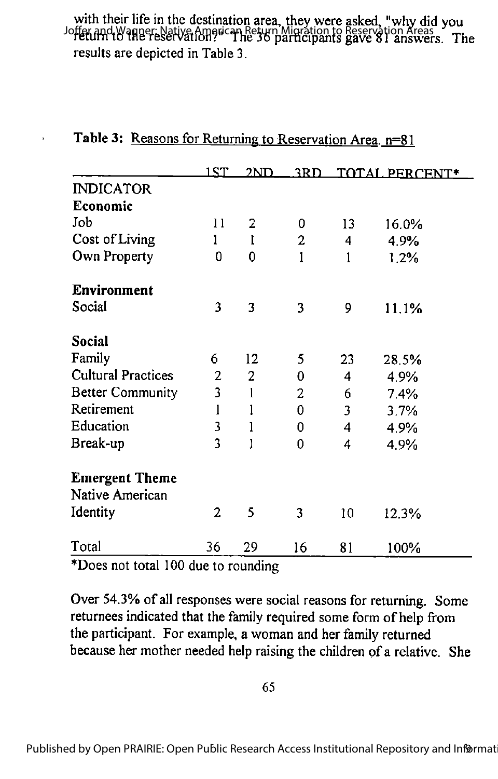# with their life in the destination area, they were asked, "why did you Joffer and Wagner: Native American Return Migration to Reservation Areas<br>The 37 answers. The 36 participants gave 81 answers. The results are depicted in Table 3.

|                           | 1ST            | 2ND            | 3RD.           |    | TOTAL PERCENT* |
|---------------------------|----------------|----------------|----------------|----|----------------|
| <b>INDICATOR</b>          |                |                |                |    |                |
| Economic                  |                |                |                |    |                |
| Job                       | 11             | $\overline{2}$ | 0              | 13 | 16.0%          |
| Cost of Living            | 1              | I              | $\overline{2}$ | 4  | 4.9%           |
| Own Property              | 0              | 0              | I              | ı  | 1.2%           |
| <b>Environment</b>        |                |                |                |    |                |
| Social                    | 3              | 3              | 3              | 9  | 11.1%          |
| Social                    |                |                |                |    |                |
| Family                    | 6              | 12             | 5              | 23 | 28.5%          |
| <b>Cultural Practices</b> | $\overline{2}$ | $\overline{2}$ | 0              | 4  | 4.9%           |
| <b>Better Community</b>   | 3              | 1              | 2              | 6  | 7.4%           |
| Retirement                | 1              |                | 0              | 3  | 3.7%           |
| Education                 | 3              | 1              | 0              | 4  | 4.9%           |
| Break-up                  | 3              |                | 0              | 4  | 4.9%           |
| <b>Emergent Theme</b>     |                |                |                |    |                |
| Native American           |                |                |                |    |                |
| Identity                  | $\overline{2}$ | 5              | 3              | 10 | 12.3%          |
| Total                     | 36             | 29             | 16             | 81 | 100%           |

## Table 3: Reasons for Returning to Reservation Area. n=81

 $\ddot{\phantom{1}}$ 

\*Does not total 100 due to rounding

Over 54.3% of all responses were social reasons for returning. Some returnees indicated that the family required some form of help from the participant. For example, a woman and her family returned because her mother needed help raising the children of a relative. She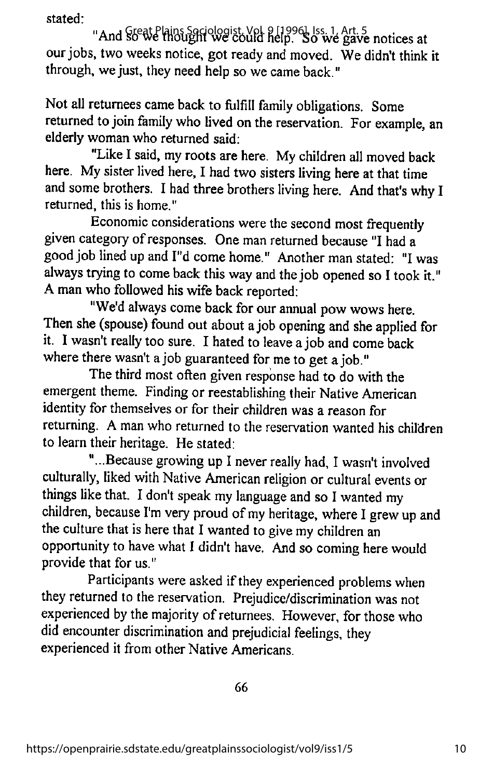stated:

"And Steat Plains Sociologist, Vol. 9 [1996], Iss. 1, Art. 5<br>"And Steat Plains Sociologist, Vol. 9 [1996], So we gave notices at our jobs, two weeks notice, got ready and moved. We didn't think it through, we just, they need help so we came back."

Not all returnees came back to fulfill family obligations. Some returned to join family who lived on the reservation. For example, an elderly woman who returned said:

"Like I said, my roots are here. My children all moved back here. My sister lived here, I had two sisters living here at that time and some brothers. I had three brothers living here. And that's why I returned, this is home."

Economic considerations were the second most frequently given category of responses. One man returned because "I had a good job lined up and I"d come home." Another man stated: "I was always trying to come back this way and the job opened so I took it." A man who followed his wife back reported:

"We'd always come back for our annual pow wows here. Then she (spouse) found out about a job opening and she applied for it. I wasn't really too sure. I hated to leave a job and come back where there wasn't a job guaranteed for me to get a job."

The third most often given response had to do with the emergent theme. Finding or reestablishing their Native American identity for themselves or for their children was a reason for returning. A man who returned to the reservation wanted his children to learn their heritage. He stated:

"...Because growing up I never really had, I wasn't involved culturally, liked with Native American religion or cultural events or things like that. I don't speak my language and so I wanted my children, because I'm very proud of my heritage, where I grew up and the culture that is here that I wanted to give my children an opportunity to have what I didn't have. And so coming here would provide that for us."

Participants were asked if they experienced problems when they returned to the reservation. Prejudice/discrimination was not experienced by the majority of returnees. However, for those who did encounter discrimination and prejudicial feelings, they experienced it from other Native Americans.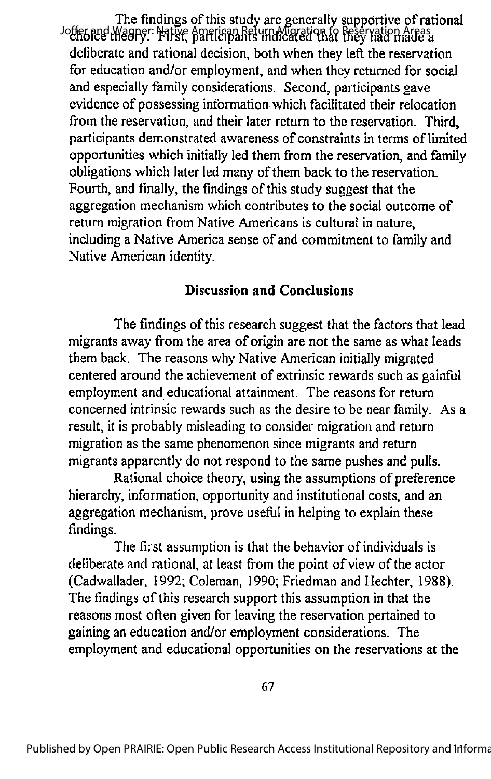The findings of this study are generally supportive of rational Joffer and Wagner: Native American Return Migration fo Reservation Areas. deliberate and rational decision, both when they left the reservation for education and/or employment, and when they returned for social and especially family considerations. Second, participants gave evidence of possessing information which facilitated their relocation from the reservation, and their later return to the reservation. Third, participants demonstrated awareness of constraints in terms of limited opportunities which initially led them from the reservation, and family obligations which later led many of them back to the reservation. Fourth, and finally, the findings of this study suggest that the aggregation mechanism which contributes to the social outcome of return migration from Native Americans is cultural in nature, including a Native America sense of and commitment to family and Native American identity.

## Discussion and Conclusions

The findings of this research suggest that the factors that lead migrants away from the area of origin are not the same as what leads them back. The reasons why Native American initially migrated centered around the achievement of extrinsic rewards such as gainful employment and educational attainment. The reasons for return concerned intrinsic rewards such as the desire to be near family. As a result, it is probably misleading to consider migration and return migration as the same phenomenon since migrants and return migrants apparently do not respond to the same pushes and pulls.

Rational choice theory, using the assumptions of preference hierarchy, information, opportunity and institutional costs, and an aggregation mechanism, prove useful in helping to explain these findings.

The first assumption is that the behavior of individuals is deliberate and rational, at least from the point of view of the actor (Cadwallader, 1992; Coleman, 1990; Friedman and Hechter, 1988). The findings of this research support this assumption in that the reasons most often given for leaving the reservation pertained to gaining an education and/or employment considerations. The employment and educational opportunities on the reservations at the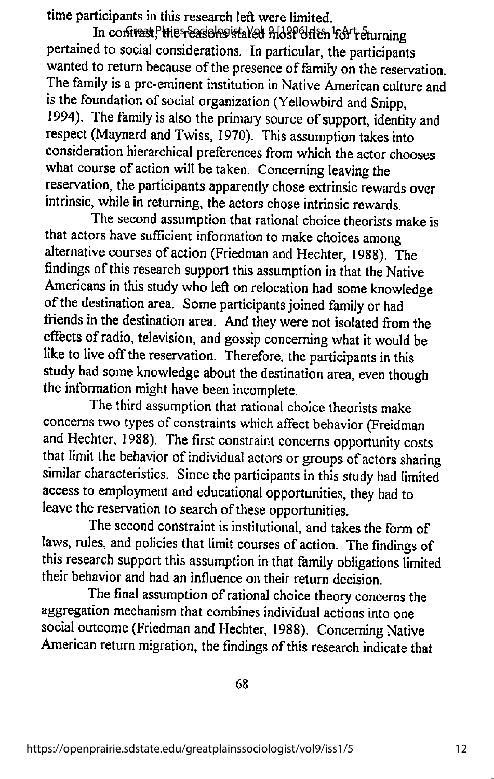time participants in this research left were limited.

In contrast, Hie reasiehs stated H139 61ten for returning pertained to social considerations. In particular, the participants wanted to return because of the presence of family on the reservation. The family is a pre-eminent institution in Native American culture and is the foundation of social organization (Yellowbird and Snipp, 1994). The family is also the primary source of support, identity and respect (Maynard and Twiss, 1970). This assumption takes into consideration hierarchical preferences from which the actor chooses what course of action will be taken. Concerning leaving the reservation, the participants apparently chose extrinsic rewards over intrinsic, while in returning, the actors chose intrinsic rewards.

The second assumption that rational choice theorists make is that actors have sufficient information to make choices among alternative courses of action (Friedman and Hechter, 1988). The findings of this research support this assumption in that the Native Americans in this study who left on relocation had some knowledge of the destination area. Some participants joined family or had friends in the destination area. And they were not isolated from the effects of radio, television, and gossip concerning what it would be like to live off the reservation. Therefore, the participants in this study had some knowledge about the destination area, even though the information might have been incomplete.

The third assumption that rational choice theorists make concerns two types of constraints which affect behavior (Freidman and Hechter, 1988). The first constraint concerns opportunity costs that limit the behavior of individual actors or groups of actors sharing similar characteristics. Since the participants in this study had limited access to employment and educational opportunities, they had to leave the reservation to search of these opportunities.

The second constraint is institutional, and takes the form of laws, rules, and policies that limit courses of action. The findings of this research support this assumption in that family obligations limited their behavior and had an influence on their return decision.

The final assumption of rational choice theory concerns the aggregation mechanism that combines individual actions into one social outcome (Friedman and Hechter, 1988). Concerning Native American return migration, the findings of this research indicate that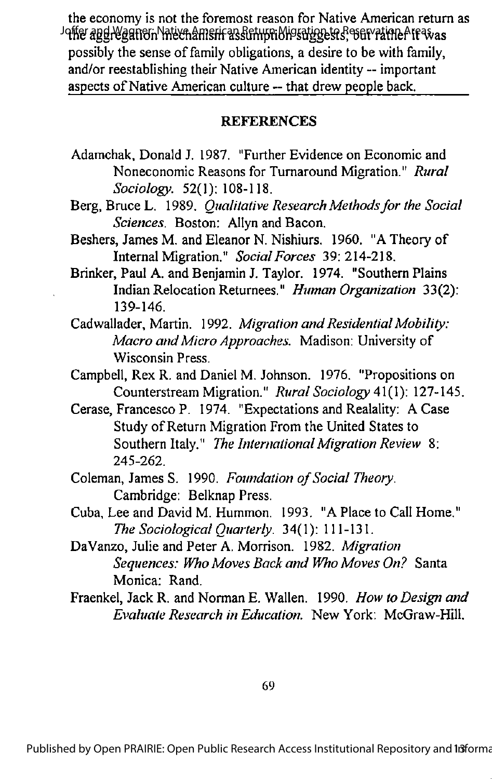the economy is not the foremost reason for Native American return as Joffer aggregation Native American Return Migration to Reservation Areas as possibly the sense of family obligations, a desire to be with family, and/or reestablishing their Native American identity -- important aspects of Native American culture -- that drew people back.

#### **REFERENCES**

- Adamchak, Donald J. 1987. "Further Evidence on Economic and Noneconomic Reasons for Turnaround Migration." Rural Sociology. 52(1): 108-118.
- Berg, Bruce L. 1989. *Qualitative Research Methods for the Social* Sciences. Boston: Allyn and Bacon.
- Beshers, James M. and Eleanor N. Nishiurs. 1960. "A Theory of Internal Migration." Social Forces 39: 214-218.
- Brinker, Paul A. and Benjamin J. Taylor. 1974. "Southern Plains Indian Relocation Returnees." Human Organization 33(2): 139-146.
- Cadwallader, Martin. 1992. Migration and Residential Mobility: Macro and Micro Approaches. Madison: University of Wisconsin Press.
- Campbell, Rex R. and Daniel M. Johnson. 1976. "Propositions on Counterstream Migration." Rural Sociology 41(1): 127-145.
- Cerase, Francesco P. 1974. "Expectations and Realality: A Case Study of Return Migration From the United States to Southern Italy." The International Migration Review 8: 245-262.
- Coleman, James S. 1990. Foundation of Social Theory. Cambridge: Belknap Press.
- Cuba, Lee and David M. Hummon. 1993. "A Place to Call Home." The Sociological Quarterly. 34(1): 111-131.
- DaVanzo, Julie and Peter A. Morrison. 1982. Migration Sequences: Who Moves Back and Who Moves On? Santa Monica: Rand.
- Fraenkel, Jack R. and Norman E. Wallen. 1990. How to Design and Evaluate Research in Education. New York: McGraw-Hill.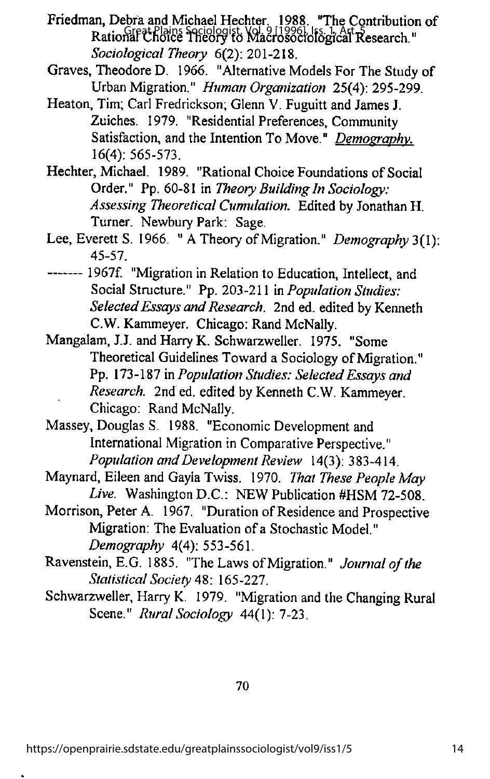- Friedman, Debra and Michael Hechter. 1988. "The Contribution of Rational Choice Theory to Macrosociological Research." Sociological Theory 6(2): 201-218.
- Graves, TheodoreD. 1966. "Alternative Models For The Study of Urban Migration." Human Organization 25(4): 295-299.
- Heaton, Tim; Carl Fredrickson; Glenn V. Fuguitt and James J. Zuiches. 1979. "Residential Preferences, Community Satisfaction, and the Intention To Move." Demography. 16(4): 565-573.
- Hechter, Michael. 1989. "Rational Choice Foundations of Social Order." Pp. 60-81 in Theory Building In Sociology: Assessing Theoretical Cumulation. Edited by Jonathan H. Turner. Newbury Park: Sage.
- Lee, Everett S. 1966. " A Theory of Migration." Demography 3(1): 45-57.
- 1967f. "Migration in Relation to Education, Intellect, and Social Structure." Pp. 203-211 in Population Studies: Selected Essays and Research. 2nd ed. edited by Kenneth C.W. Kammeyer. Chicago: Rand McNally.
- Mangalam, J.J. and Harry K. Schwarzweller. 1975. "Some Theoretical Guidelines Toward a Sociology of Migration." Pp. 173-187 in Population Studies: Selected Essays and Research. 2nd ed. edited by Kenneth C.W. Kammeyer. Chicago: Rand McNally.
- Massey, Douglas S. 1988. "Economic Development and International Migration in Comparative Perspective." Population and Development Review 14(3): 383-414.
- Maynard, Eileen and Gayla Twiss. 1970. That These People May Live. Washington D.C.: NEW Publication #HSM 72-508.
- Morrison, Peter A. 1967. "Duration of Residence and Prospective Migration: The Evaluation of a Stochastic Model." Demography 4(4): 553-561.
- Ravenstein, E.G. 1885. "The Laws of Migration." Journal of the Statistical Society 48: 165-227.
- Schwarzweller, Harry K. 1979. "Migration and the Changing Rural Scene." Rural Sociology 44(1): 7-23.